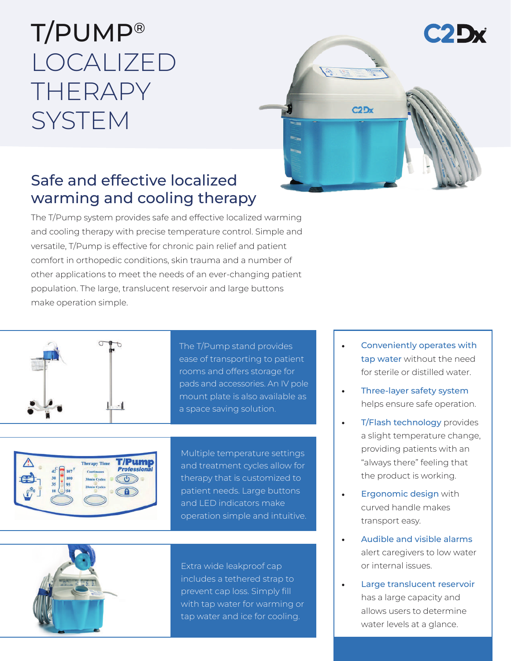## T/PUMP® LOCALIZED THERAPY **SYSTEM**



### Safe and effective localized warming and cooling therapy

The T/Pump system provides safe and effective localized warming and cooling therapy with precise temperature control. Simple and versatile, T/Pump is effective for chronic pain relief and patient comfort in orthopedic conditions, skin trauma and a number of other applications to meet the needs of an ever-changing patient population. The large, translucent reservoir and large buttons make operation simple.



The T/Pump stand provides ease of transporting to patient rooms and offers storage for pads and accessories. An IV pole mount plate is also available as a space saving solution.



Multiple temperature settings and treatment cycles allow for therapy that is customized to patient needs. Large buttons and LED indicators make operation simple and intuitive.



Extra wide leakproof cap includes a tethered strap to prevent cap loss. Simply fill with tap water for warming or tap water and ice for cooling.

- Conveniently operates with tap water without the need for sterile or distilled water.
- Three-layer safety system helps ensure safe operation.
- **T/Flash technology provides** a slight temperature change, providing patients with an "always there" feeling that the product is working.
- **Ergonomic design with** curved handle makes transport easy.
- Audible and visible alarms alert caregivers to low water or internal issues.
- Large translucent reservoir has a large capacity and allows users to determine water levels at a glance.